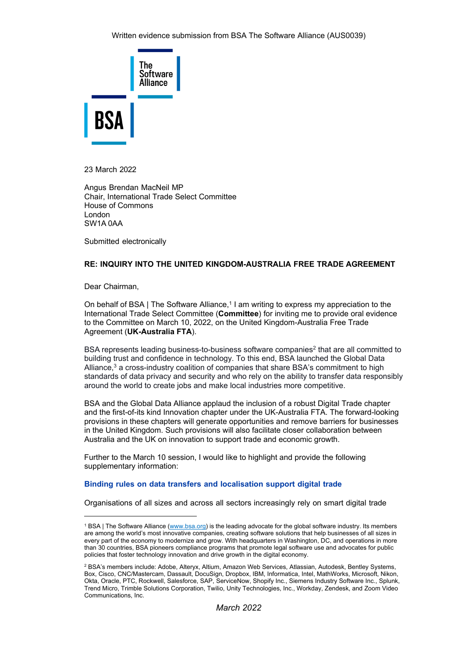

23 March 2022

Angus Brendan MacNeil MP Chair, International Trade Select Committee House of Commons London SW1A 0AA

Submitted electronically

## **RE: INQUIRY INTO THE UNITED KINGDOM-AUSTRALIA FREE TRADE AGREEMENT**

Dear Chairman,

On behalf of BSA | The Software Alliance,<sup>[1](#page-0-0)</sup> [I](#page-0-0) am writing to express my appreciation to the International Trade Select Committee (**Committee**) for inviting me to provide oral evidence to the Committee on March 10, 2022, on the United Kingdom-Australia Free Trade Agreement (**UK-Australia FTA**).

BSA represents leading business-to-business software companies<sup>[2](#page-0-1)</sup> that are all committed to building trust and confidence in technology. To this end, BSA launched the Global Data Alliance, $3$  a cross-industry coalition of companies that share BSA's commitment to high standards of data privacy and security and who rely on the ability to transfer data responsibly around the world to create jobs and make local industries more competitive.

BSA and the Global Data Alliance applaud the inclusion of a robust Digital Trade chapter and the first-of-its kind Innovation chapter under the UK-Australia FTA. The forward-looking provisions in these chapters will generate opportunities and remove barriers for businesses in the United Kingdom. Such provisions will also facilitate closer collaboration between Australia and the UK on innovation to support trade and economic growth.

Further to the March 10 session, I would like to highlight and provide the following supplementary information:

### **Binding rules on data transfers and localisation support digital trade**

Organisations of all sizes and across all sectors increasingly rely on smart digital trade

<span id="page-0-0"></span><sup>1</sup> BSA | The Software Alliance [\(www.bsa.org\)](https://www.bsa.org/) is the leading advocate for the global software industry. Its members are among the world's most innovative companies, creating software solutions that help businesses of all sizes in every part of the economy to modernize and grow. With headquarters in Washington, DC, and operations in more than 30 countries, BSA pioneers compliance programs that promote legal software use and advocates for public policies that foster technology innovation and drive growth in the digital economy.

<span id="page-0-1"></span><sup>2</sup> BSA's members include: Adobe, Alteryx, Altium, Amazon Web Services, Atlassian, Autodesk, Bentley Systems, Box, Cisco, CNC/Mastercam, Dassault, DocuSign, Dropbox, IBM, Informatica, Intel, MathWorks, Microsoft, Nikon, Okta, Oracle, PTC, Rockwell, Salesforce, SAP, ServiceNow, Shopify Inc., Siemens Industry Software Inc., Splunk, Trend Micro, Trimble Solutions Corporation, Twilio, Unity Technologies, Inc., Workday, Zendesk, and Zoom Video Communications, Inc.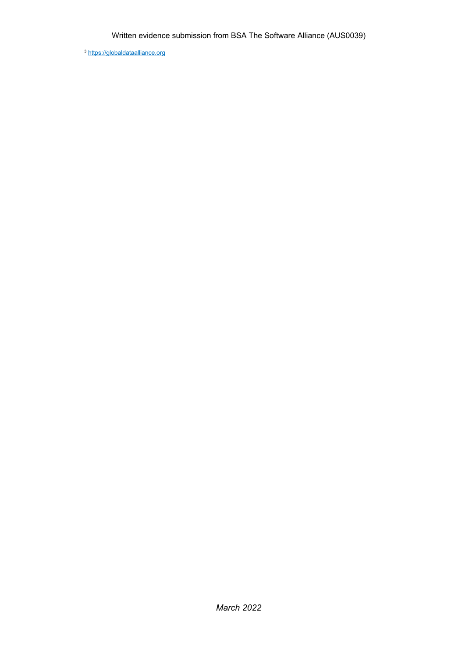<span id="page-1-0"></span><sup>3</sup> https://globaldataallianc[e.](https://globaldataalliance.org/)org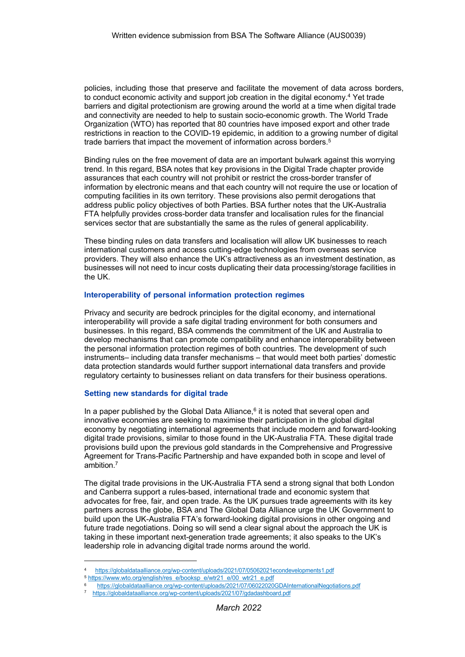policies, including those that preserve and facilitate the movement of data across borders, to conduct economic activity and support job creation in the digital economy.[4](#page-2-0) [Y](#page-2-0)et trade barriers and digital protectionism are growing around the world at a time when digital trade and connectivity are needed to help to sustain socio-economic growth. The World Trade Organization (WTO) has reported that 80 countries have imposed export and other trade restrictions in reaction to the COVID-19 epidemic, in addition to a growing number of digital trade barriers that impact the movement of information across borders.<sup>[5](#page-2-1)</sup>

Binding rules on the free movement of data are an important bulwark against this worrying trend. In this regard, BSA notes that key provisions in the Digital Trade chapter provide assurances that each country will not prohibit or restrict the cross-border transfer of information by electronic means and that each country will not require the use or location of computing facilities in its own territory. These provisions also permit derogations that address public policy objectives of both Parties. BSA further notes that the UK-Australia FTA helpfully provides cross-border data transfer and localisation rules for the financial services sector that are substantially the same as the rules of general applicability.

These binding rules on data transfers and localisation will allow UK businesses to reach international customers and access cutting-edge technologies from overseas service providers. They will also enhance the UK's attractiveness as an investment destination, as businesses will not need to incur costs duplicating their data processing/storage facilities in the UK.

### **Interoperability of personal information protection regimes**

Privacy and security are bedrock principles for the digital economy, and international interoperability will provide a safe digital trading environment for both consumers and businesses. In this regard, BSA commends the commitment of the UK and Australia to develop mechanisms that can promote compatibility and enhance interoperability between the personal information protection regimes of both countries. The development of such instruments– including data transfer mechanisms – that would meet both parties' domestic data protection standards would further support international data transfers and provide regulatory certainty to businesses reliant on data transfers for their business operations.

#### **Setting new standards for digital trade**

In a paper published by the Global Data Alliance, $6$  it is noted that several open and innovative economies are seeking to maximise their participation in the global digital economy by negotiating international agreements that include modern and forward-looking digital trade provisions, similar to those found in the UK-Australia FTA. These digital trade provisions build upon the previous gold standards in the Comprehensive and Progressive Agreement for Trans-Pacific Partnership and have expanded both in scope and level of ambition. [7](#page-2-3)

The digital trade provisions in the UK-Australia FTA send a strong signal that both London and Canberra support a rules-based, international trade and economic system that advocates for free, fair, and open trade. As the UK pursues trade agreements with its key partners across the globe, BSA and The Global Data Alliance urge the UK Government to build upon the UK-Australia FTA's forward-looking digital provisions in other ongoing and future trade negotiations. Doing so will send a clear signal about the approach the UK is taking in these important next-generation trade agreements; it also speaks to the UK's leadership role in advancing digital trade norms around the world.

<span id="page-2-0"></span><sup>4</sup> [https://globaldataalliance.org/wp](https://globaldataalliance.org/wp-content/uploads/2021/07/05062021econdevelopments1.pdf)-conten[t/](https://globaldataalliance.org/wp-content/uploads/2021/07/05062021econdevelopments1.pdf)upload[s/](https://globaldataalliance.org/wp-content/uploads/2021/07/05062021econdevelopments1.pdf)2021[/07/](https://globaldataalliance.org/wp-content/uploads/2021/07/05062021econdevelopments1.pdf)05062021econdevelopment[s1.](https://globaldataalliance.org/wp-content/uploads/2021/07/05062021econdevelopments1.pdf)pdf

<span id="page-2-1"></span><sup>5</sup> https://ww[w.](https://www.wto.org/english/res_e/booksp_e/wtr21_e/00_wtr21_e.pdf)wt[o.o](https://www.wto.org/english/res_e/booksp_e/wtr21_e/00_wtr21_e.pdf)rg[/e](https://www.wto.org/english/res_e/booksp_e/wtr21_e/00_wtr21_e.pdf)nglish[/r](https://www.wto.org/english/res_e/booksp_e/wtr21_e/00_wtr21_e.pdf)es[\\_e/](https://www.wto.org/english/res_e/booksp_e/wtr21_e/00_wtr21_e.pdf)booksp[\\_e/](https://www.wto.org/english/res_e/booksp_e/wtr21_e/00_wtr21_e.pdf)wtr2[1\\_e/](https://www.wto.org/english/res_e/booksp_e/wtr21_e/00_wtr21_e.pdf)0[0\\_](https://www.wto.org/english/res_e/booksp_e/wtr21_e/00_wtr21_e.pdf)wtr2[1\\_e.](https://www.wto.org/english/res_e/booksp_e/wtr21_e/00_wtr21_e.pdf)pdf

<span id="page-2-2"></span>[https://globaldataalliance.org/wp](https://globaldataalliance.org/wp-content/uploads/2021/07/06022020GDAInternationalNegotiations.pdf)-content[/u](https://globaldataalliance.org/wp-content/uploads/2021/07/06022020GDAInternationalNegotiations.pdf)ploads[/2](https://globaldataalliance.org/wp-content/uploads/2021/07/06022020GDAInternationalNegotiations.pdf)02[1/](https://globaldataalliance.org/wp-content/uploads/2021/07/06022020GDAInternationalNegotiations.pdf)0[7/](https://globaldataalliance.org/wp-content/uploads/2021/07/06022020GDAInternationalNegotiations.pdf)06022020GDAInternationalNegotiation[s.](https://globaldataalliance.org/wp-content/uploads/2021/07/06022020GDAInternationalNegotiations.pdf)pdf

<span id="page-2-3"></span><sup>7</sup> [https://globaldataalliance.org/wp](https://globaldataalliance.org/wp-content/uploads/2021/07/gdadashboard.pdf)-conten[t/u](https://globaldataalliance.org/wp-content/uploads/2021/07/gdadashboard.pdf)ploads[/2](https://globaldataalliance.org/wp-content/uploads/2021/07/gdadashboard.pdf)02[1/](https://globaldataalliance.org/wp-content/uploads/2021/07/gdadashboard.pdf)07[/g](https://globaldataalliance.org/wp-content/uploads/2021/07/gdadashboard.pdf)dadashboar[d.](https://globaldataalliance.org/wp-content/uploads/2021/07/gdadashboard.pdf)pdf